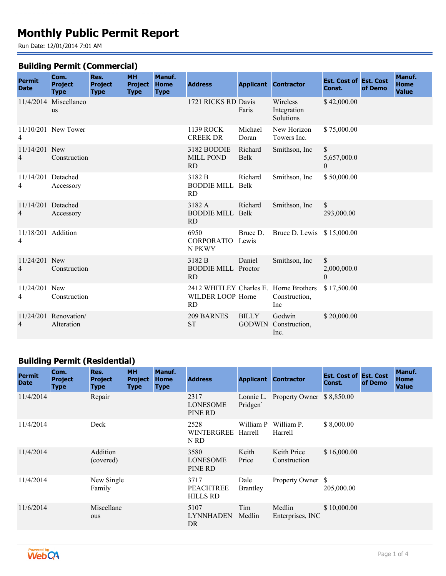# **Monthly Public Permit Report**

Run Date: 12/01/2014 7:01 AM

#### **Building Permit (Commercial)**

| <b>Permit</b>           | Com.<br><b>Project</b>              | Res.<br><b>Project</b> | <b>MH</b><br><b>Project</b> | Manuf.<br><b>Home</b> | <b>Address</b>                                                           |                  | <b>Applicant Contractor</b>            | <b>Est. Cost of Est. Cost</b>                 |         | Manuf.<br><b>Home</b> |
|-------------------------|-------------------------------------|------------------------|-----------------------------|-----------------------|--------------------------------------------------------------------------|------------------|----------------------------------------|-----------------------------------------------|---------|-----------------------|
| <b>Date</b>             | <b>Type</b>                         | <b>Type</b>            | <b>Type</b>                 | <b>Type</b>           |                                                                          |                  |                                        | Const.                                        | of Demo | <b>Value</b>          |
|                         | 11/4/2014 Miscellaneo<br><b>us</b>  |                        |                             |                       | 1721 RICKS RD Davis                                                      | Faris            | Wireless<br>Integration<br>Solutions   | \$42,000.00                                   |         |                       |
| 4                       | 11/10/201 New Tower                 |                        |                             |                       | 1139 ROCK<br><b>CREEK DR</b>                                             | Michael<br>Doran | New Horizon<br>Towers Inc.             | \$75,000.00                                   |         |                       |
| $11/14/201$ New<br>4    | Construction                        |                        |                             |                       | 3182 BODDIE<br><b>MILL POND</b><br><b>RD</b>                             | Richard<br>Belk  | Smithson, Inc.                         | $\mathbb{S}$<br>5,657,000.0<br>$\overline{0}$ |         |                       |
| 11/14/201 Detached<br>4 | Accessory                           |                        |                             |                       | 3182 B<br><b>BODDIE MILL Belk</b><br><b>RD</b>                           | Richard          | Smithson, Inc.                         | \$50,000.00                                   |         |                       |
| 11/14/201 Detached<br>4 | Accessory                           |                        |                             |                       | 3182 A<br><b>BODDIE MILL Belk</b><br><b>RD</b>                           | Richard          | Smithson, Inc.                         | \$<br>293,000.00                              |         |                       |
| 11/18/201 Addition<br>4 |                                     |                        |                             |                       | 6950<br>CORPORATIO Lewis<br>N PKWY                                       | Bruce D.         | Bruce D. Lewis \$15,000.00             |                                               |         |                       |
| 11/24/201 New<br>4      | Construction                        |                        |                             |                       | 3182 B<br><b>BODDIE MILL Proctor</b><br><b>RD</b>                        | Daniel           | Smithson, Inc.                         | \$<br>2,000,000.0<br>$\Omega$                 |         |                       |
| 11/24/201 New<br>4      | Construction                        |                        |                             |                       | 2412 WHITLEY Charles E. Horne Brothers<br>WILDER LOOP Horne<br><b>RD</b> |                  | Construction,<br>Inc                   | \$17,500.00                                   |         |                       |
| $\overline{4}$          | 11/24/201 Renovation/<br>Alteration |                        |                             |                       | 209 BARNES<br><b>ST</b>                                                  | <b>BILLY</b>     | Godwin<br>GODWIN Construction,<br>Inc. | \$20,000.00                                   |         |                       |

### **Building Permit (Residential)**

| <b>Permit</b><br><b>Date</b> | Com.<br><b>Project</b><br><b>Type</b> | Res.<br><b>Project</b><br><b>Type</b> | <b>MH</b><br><b>Project</b><br><b>Type</b> | Manuf.<br><b>Home</b><br><b>Type</b> | <b>Address</b>                              |                         | <b>Applicant Contractor</b> | <b>Est. Cost of Est. Cost</b><br>Const. | of Demo | Manuf.<br><b>Home</b><br><b>Value</b> |
|------------------------------|---------------------------------------|---------------------------------------|--------------------------------------------|--------------------------------------|---------------------------------------------|-------------------------|-----------------------------|-----------------------------------------|---------|---------------------------------------|
| 11/4/2014                    |                                       | Repair                                |                                            |                                      | 2317<br><b>LONESOME</b><br>PINE RD          | Lonnie L.<br>Pridgen    | Property Owner \$8,850.00   |                                         |         |                                       |
| 11/4/2014                    |                                       | Deck                                  |                                            |                                      | 2528<br>WINTERGREE Harrell<br>N RD          | William P               | William P.<br>Harrell       | \$8,000.00                              |         |                                       |
| 11/4/2014                    |                                       | Addition<br>(covered)                 |                                            |                                      | 3580<br><b>LONESOME</b><br>PINE RD          | Keith<br>Price          | Keith Price<br>Construction | \$16,000.00                             |         |                                       |
| 11/4/2014                    |                                       | New Single<br>Family                  |                                            |                                      | 3717<br><b>PEACHTREE</b><br><b>HILLS RD</b> | Dale<br><b>Brantley</b> | Property Owner \$           | 205,000.00                              |         |                                       |
| 11/6/2014                    |                                       | Miscellane<br>ous                     |                                            |                                      | 5107<br><b>LYNNHADEN</b><br>DR              | Tim<br>Medlin           | Medlin<br>Enterprises, INC  | \$10,000.00                             |         |                                       |

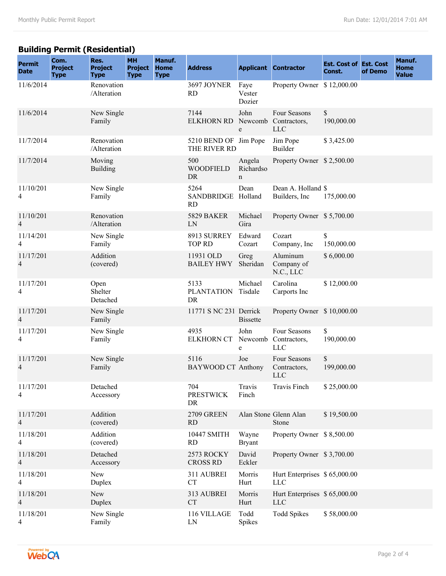# **Building Permit (Residential)**

| <b>Permit</b><br><b>Date</b>          | Com.<br><b>Project</b><br><b>Type</b> | Res.<br><b>Project</b><br><b>Type</b> | <b>MH</b><br><b>Project</b><br><b>Type</b> | Manuf.<br><b>Home</b><br><b>Type</b> | <b>Address</b>                          |                          | <b>Applicant Contractor</b>                        | <b>Est. Cost of Est. Cost</b><br>Const. | of Demo | Manuf.<br>Home<br><b>Value</b> |
|---------------------------------------|---------------------------------------|---------------------------------------|--------------------------------------------|--------------------------------------|-----------------------------------------|--------------------------|----------------------------------------------------|-----------------------------------------|---------|--------------------------------|
| 11/6/2014                             |                                       | Renovation<br>/Alteration             |                                            |                                      | 3697 JOYNER<br><b>RD</b>                | Faye<br>Vester<br>Dozier | Property Owner \$12,000.00                         |                                         |         |                                |
| 11/6/2014                             |                                       | New Single<br>Family                  |                                            |                                      | 7144<br><b>ELKHORN RD</b>               | John<br>e                | Four Seasons<br>Newcomb Contractors,<br><b>LLC</b> | \$<br>190,000.00                        |         |                                |
| 11/7/2014                             |                                       | Renovation<br>/Alteration             |                                            |                                      | 5210 BEND OF Jim Pope<br>THE RIVER RD   |                          | Jim Pope<br>Builder                                | \$3,425.00                              |         |                                |
| 11/7/2014                             |                                       | Moving<br><b>Building</b>             |                                            |                                      | 500<br><b>WOODFIELD</b><br>DR           | Angela<br>Richardso<br>n | Property Owner \$2,500.00                          |                                         |         |                                |
| 11/10/201<br>4                        |                                       | New Single<br>Family                  |                                            |                                      | 5264<br>SANDBRIDGE Holland<br><b>RD</b> | Dean                     | Dean A. Holland \$<br>Builders, Inc.               | 175,000.00                              |         |                                |
| 11/10/201<br>$\overline{4}$           |                                       | Renovation<br>/Alteration             |                                            |                                      | <b>5829 BAKER</b><br>LN                 | Michael<br>Gira          | Property Owner \$5,700.00                          |                                         |         |                                |
| 11/14/201<br>$\overline{4}$           |                                       | New Single<br>Family                  |                                            |                                      | 8913 SURREY<br><b>TOP RD</b>            | Edward<br>Cozart         | Cozart<br>Company, Inc.                            | \$<br>150,000.00                        |         |                                |
| 11/17/201<br>$\overline{\mathcal{A}}$ |                                       | Addition<br>(covered)                 |                                            |                                      | 11931 OLD<br><b>BAILEY HWY</b>          | Greg<br>Sheridan         | Aluminum<br>Company of<br>N.C., LLC                | \$6,000.00                              |         |                                |
| 11/17/201<br>4                        |                                       | Open<br>Shelter<br>Detached           |                                            |                                      | 5133<br><b>PLANTATION</b><br>DR         | Michael<br>Tisdale       | Carolina<br>Carports Inc                           | \$12,000.00                             |         |                                |
| 11/17/201<br>$\overline{4}$           |                                       | New Single<br>Family                  |                                            |                                      | 11771 S NC 231 Derrick                  | <b>Bissette</b>          | Property Owner \$10,000.00                         |                                         |         |                                |
| 11/17/201<br>$\overline{4}$           |                                       | New Single<br>Family                  |                                            |                                      | 4935<br><b>ELKHORN CT</b>               | John<br>Newcomb<br>e     | Four Seasons<br>Contractors,<br><b>LLC</b>         | \$<br>190,000.00                        |         |                                |
| 11/17/201<br>4                        |                                       | New Single<br>Family                  |                                            |                                      | 5116<br><b>BAYWOOD CT Anthony</b>       | Joe                      | Four Seasons<br>Contractors,<br>LLC                | $\mathbb{S}$<br>199,000.00              |         |                                |
| 11/17/201<br>4                        |                                       | Detached<br>Accessory                 |                                            |                                      | 704<br><b>PRESTWICK</b><br>DR           | Travis<br>Finch          | Travis Finch                                       | \$25,000.00                             |         |                                |
| 11/17/201<br>4                        |                                       | Addition<br>(covered)                 |                                            |                                      | 2709 GREEN<br><b>RD</b>                 |                          | Alan Stone Glenn Alan<br>Stone                     | \$19,500.00                             |         |                                |
| 11/18/201<br>$\overline{4}$           |                                       | Addition<br>(covered)                 |                                            |                                      | 10447 SMITH<br>RD                       | Wayne<br><b>Bryant</b>   | Property Owner \$8,500.00                          |                                         |         |                                |
| 11/18/201<br>$\overline{4}$           |                                       | Detached<br>Accessory                 |                                            |                                      | 2573 ROCKY<br><b>CROSS RD</b>           | David<br>Eckler          | Property Owner \$3,700.00                          |                                         |         |                                |
| 11/18/201<br>4                        |                                       | New<br>Duplex                         |                                            |                                      | 311 AUBREI<br><b>CT</b>                 | Morris<br>Hurt           | Hurt Enterprises \$65,000.00<br><b>LLC</b>         |                                         |         |                                |
| 11/18/201<br>$\overline{4}$           |                                       | New<br>Duplex                         |                                            |                                      | 313 AUBREI<br>${\cal C}{\cal T}$        | Morris<br>Hurt           | Hurt Enterprises \$65,000.00<br><b>LLC</b>         |                                         |         |                                |
| 11/18/201<br>4                        |                                       | New Single<br>Family                  |                                            |                                      | 116 VILLAGE<br>LN                       | Todd<br><b>Spikes</b>    | <b>Todd Spikes</b>                                 | \$58,000.00                             |         |                                |

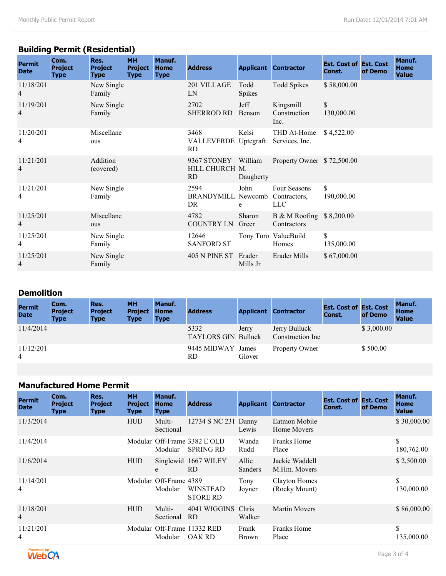# **Building Permit (Residential)**

| <b>Permit</b><br><b>Date</b> | Com.<br><b>Project</b><br><b>Type</b> | Res.<br><b>Project</b><br><b>Type</b> | <b>MH</b><br><b>Project</b><br><b>Type</b> | Manuf.<br>Home<br><b>Type</b> | <b>Address</b>                            |                      | <b>Applicant Contractor</b>                | <b>Est. Cost of Est. Cost</b><br>Const. | of Demo | Manuf.<br><b>Home</b><br><b>Value</b> |
|------------------------------|---------------------------------------|---------------------------------------|--------------------------------------------|-------------------------------|-------------------------------------------|----------------------|--------------------------------------------|-----------------------------------------|---------|---------------------------------------|
| 11/18/201<br>4               |                                       | New Single<br>Family                  |                                            |                               | 201 VILLAGE<br>LN                         | Todd<br>Spikes       | <b>Todd Spikes</b>                         | \$58,000.00                             |         |                                       |
| 11/19/201<br>4               |                                       | New Single<br>Family                  |                                            |                               | 2702<br><b>SHERROD RD</b>                 | Jeff<br>Benson       | Kingsmill<br>Construction<br>Inc.          | \$<br>130,000.00                        |         |                                       |
| 11/20/201<br>4               |                                       | Miscellane<br>ous                     |                                            |                               | 3468<br>VALLEVERDE Uptegraft<br><b>RD</b> | Kelsi                | THD At-Home<br>Services, Inc.              | \$4,522.00                              |         |                                       |
| 11/21/201<br>4               |                                       | Addition<br>(covered)                 |                                            |                               | 9367 STONEY<br>HILL CHURCH M.<br>RD.      | William<br>Daugherty | Property Owner \$72,500.00                 |                                         |         |                                       |
| 11/21/201<br>4               |                                       | New Single<br>Family                  |                                            |                               | 2594<br><b>BRANDYMILL Newcomb</b><br>DR   | John<br>e            | Four Seasons<br>Contractors,<br><b>LLC</b> | \$<br>190,000.00                        |         |                                       |
| 11/25/201<br>4               |                                       | Miscellane<br>ous                     |                                            |                               | 4782<br><b>COUNTRY LN</b>                 | Sharon<br>Greer      | B & M Roofing \$8,200.00<br>Contractors    |                                         |         |                                       |
| 11/25/201<br>4               |                                       | New Single<br>Family                  |                                            |                               | 12646<br><b>SANFORD ST</b>                |                      | Tony Toro ValueBuild<br>Homes              | \$<br>135,000.00                        |         |                                       |
| 11/25/201<br>4               |                                       | New Single<br>Family                  |                                            |                               | 405 N PINE ST                             | Erader<br>Mills Jr   | Erader Mills                               | \$67,000.00                             |         |                                       |

### **Demolition**

| <b>Permit</b><br><b>Date</b> | Com.<br><b>Project</b><br><b>Type</b> | Res.<br><b>Project</b><br><b>Type</b> | <b>MH</b><br><b>Project</b><br><b>Type</b> | Manuf.<br>Home<br><b>Type</b> | <b>Address</b>                     |        | <b>Applicant Contractor</b>        | <b>Est. Cost of Est. Cost</b><br>Const. | of Demo    | Manuf.<br><b>Home</b><br><b>Value</b> |
|------------------------------|---------------------------------------|---------------------------------------|--------------------------------------------|-------------------------------|------------------------------------|--------|------------------------------------|-----------------------------------------|------------|---------------------------------------|
| 11/4/2014                    |                                       |                                       |                                            |                               | 5332<br><b>TAYLORS GIN Bulluck</b> | Jerry  | Jerry Bulluck<br>Construction Inc. |                                         | \$3,000.00 |                                       |
| 11/12/201<br>$\overline{4}$  |                                       |                                       |                                            |                               | 9445 MIDWAY James<br>RD.           | Glover | Property Owner                     |                                         | \$500.00   |                                       |

### **Manufactured Home Permit**

| <b>Permit</b><br><b>Date</b> | Com.<br><b>Project</b><br><b>Type</b> | Res.<br><b>Project</b><br><b>Type</b> | <b>MH</b><br><b>Project</b><br><b>Type</b> | Manuf.<br>Home<br><b>Type</b>     | <b>Address</b>                                   |                         | <b>Applicant Contractor</b>           | <b>Est. Cost of Est. Cost</b><br>Const. | of Demo | Manuf.<br><b>Home</b><br><b>Value</b> |
|------------------------------|---------------------------------------|---------------------------------------|--------------------------------------------|-----------------------------------|--------------------------------------------------|-------------------------|---------------------------------------|-----------------------------------------|---------|---------------------------------------|
| 11/3/2014                    |                                       |                                       | <b>HUD</b>                                 | Multi-<br>Sectional               | 12734 S NC 231 Danny                             | Lewis                   | Eatmon Mobile<br>Home Movers          |                                         |         | \$30,000.00                           |
| 11/4/2014                    |                                       |                                       |                                            | Modular                           | Modular Off-Frame 3382 E OLD<br><b>SPRING RD</b> | Wanda<br>Rudd           | Franks Home<br>Place                  |                                         |         | S<br>180,762.00                       |
| 11/6/2014                    |                                       |                                       | <b>HUD</b>                                 | e                                 | Singlewid 1667 WILEY<br>RD.                      | Allie<br><b>Sanders</b> | Jackie Waddell<br>M.Hm. Movers        |                                         |         | \$2,500.00                            |
| 11/14/201<br>4               |                                       |                                       |                                            | Modular Off-Frame 4389<br>Modular | <b>WINSTEAD</b><br><b>STORE RD</b>               | Tony<br>Joyner          | <b>Clayton Homes</b><br>(Rocky Mount) |                                         |         | \$<br>130,000.00                      |
| 11/18/201<br>$\overline{4}$  |                                       |                                       | <b>HUD</b>                                 | Multi-<br>Sectional               | 4041 WIGGINS Chris<br>RD.                        | Walker                  | <b>Martin Movers</b>                  |                                         |         | \$86,000.00                           |
| 11/21/201<br>4               |                                       |                                       |                                            | Modular                           | Modular Off-Frame 11332 RED<br><b>OAK RD</b>     | Frank<br><b>Brown</b>   | <b>Franks Home</b><br>Place           |                                         |         | \$<br>135,000.00                      |